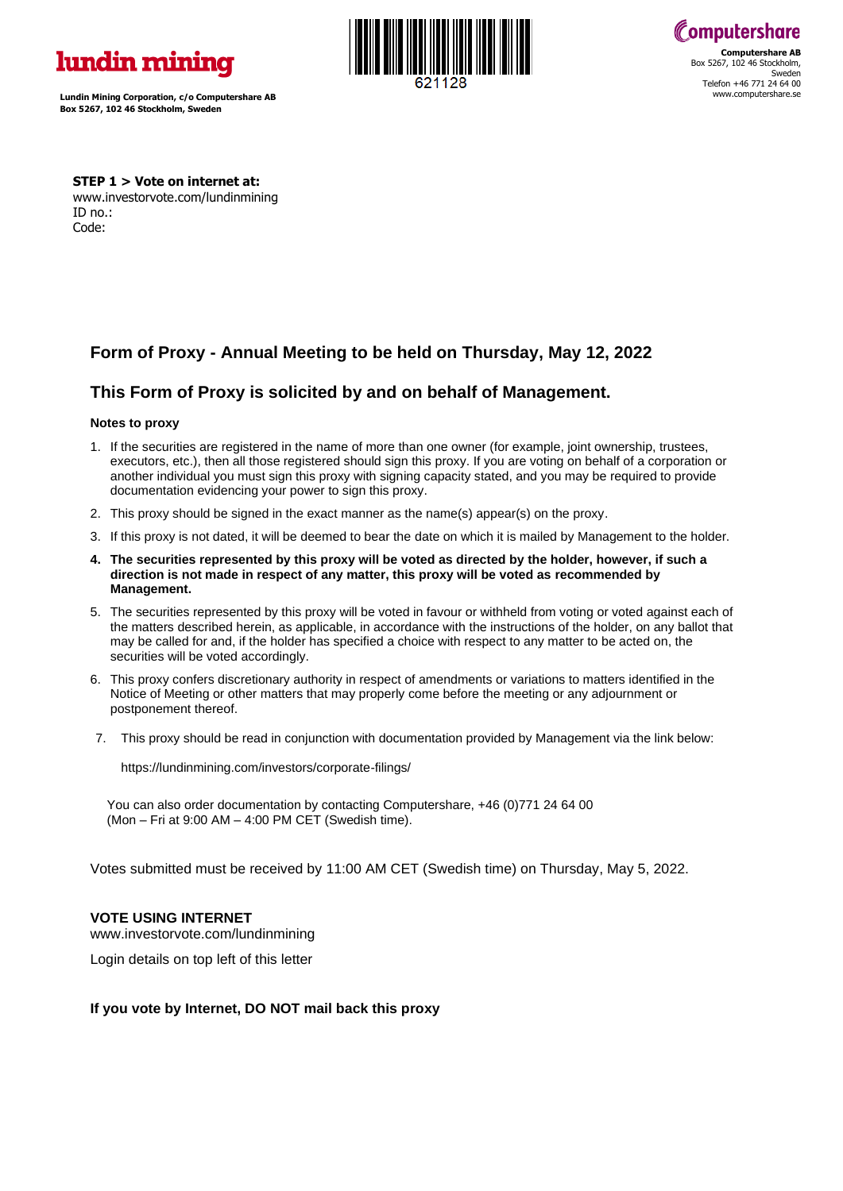

**Lundin Mining Corporation, c/o Computershare AB Box 5267, 102 46 Stockholm, Sweden**





**STEP 1 > Vote on internet at:**  www.investorvote.com/lundinmining ID no.: Code:

# **Form of Proxy - Annual Meeting to be held on Thursday, May 12, 2022**

# **This Form of Proxy is solicited by and on behalf of Management.**

## **Notes to proxy**

- 1. If the securities are registered in the name of more than one owner (for example, joint ownership, trustees, executors, etc.), then all those registered should sign this proxy. If you are voting on behalf of a corporation or another individual you must sign this proxy with signing capacity stated, and you may be required to provide documentation evidencing your power to sign this proxy.
- 2. This proxy should be signed in the exact manner as the name(s) appear(s) on the proxy.
- 3. If this proxy is not dated, it will be deemed to bear the date on which it is mailed by Management to the holder.
- **4. The securities represented by this proxy will be voted as directed by the holder, however, if such a direction is not made in respect of any matter, this proxy will be voted as recommended by Management.**
- 5. The securities represented by this proxy will be voted in favour or withheld from voting or voted against each of the matters described herein, as applicable, in accordance with the instructions of the holder, on any ballot that may be called for and, if the holder has specified a choice with respect to any matter to be acted on, the securities will be voted accordingly.
- 6. This proxy confers discretionary authority in respect of amendments or variations to matters identified in the Notice of Meeting or other matters that may properly come before the meeting or any adjournment or postponement thereof.
- 7. This proxy should be read in conjunction with documentation provided by Management via the link below:

https://lundinmining.com/investors/corporate-filings/

 You can also order documentation by contacting Computershare, +46 (0)771 24 64 00 (Mon – Fri at 9:00 AM – 4:00 PM CET (Swedish time).

Votes submitted must be received by 11:00 AM CET (Swedish time) on Thursday, May 5, 2022.

## **VOTE USING INTERNET**

www.investorvote.com/lundinmining

Login details on top left of this letter

## **If you vote by Internet, DO NOT mail back this proxy**